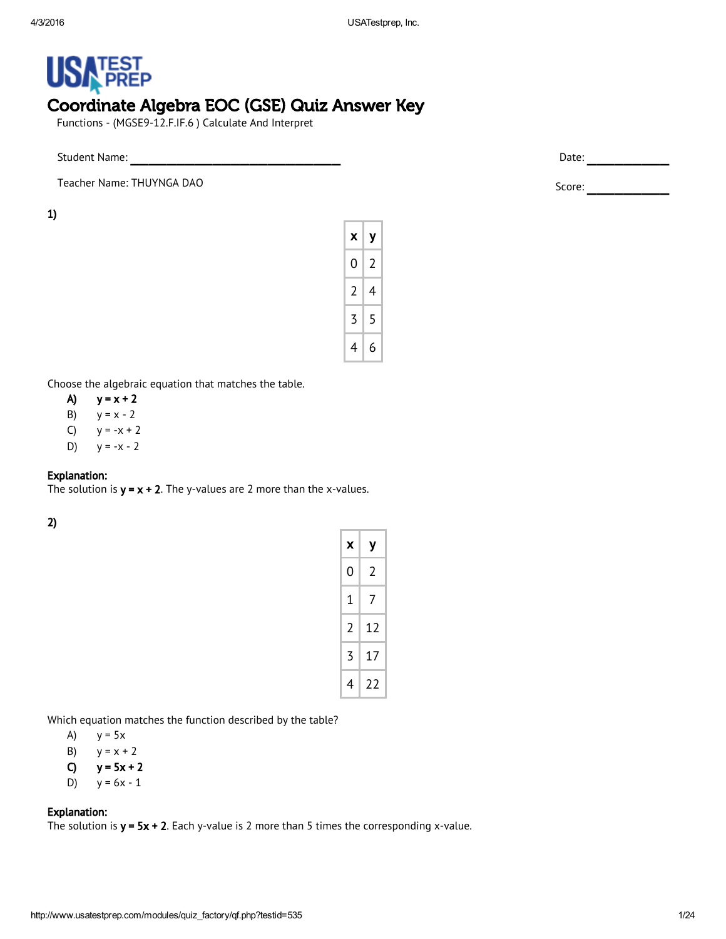# **USA PREP** Coordinate Algebra EOC (GSE) Quiz Answer Key

Functions - (MGSE9‐12.F.IF.6 ) Calculate And Interpret

Teacher Name: THUYNGA DAO Score: \_\_\_\_\_\_\_\_\_

1)

| x              | у |
|----------------|---|
| 0              | 2 |
| $\overline{2}$ | 4 |
| 3              | 5 |
| 4              | 6 |

Choose the algebraic equation that matches the table.

- A)  $y = x + 2$
- B)  $y = x 2$
- C)  $y = -x + 2$
- D)  $y = -x 2$

# Explanation:

The solution is  $y = x + 2$ . The y-values are 2 more than the x-values.

2)

| х | у  |
|---|----|
| 0 | 2  |
| 1 | 7  |
| 2 | 12 |
| 3 | 17 |
| 4 | 22 |

Which equation matches the function described by the table?

A)  $y = 5x$ 

B)  $y = x + 2$ 

C)  $y = 5x + 2$ 

D) 
$$
y = 6x - 1
$$

# Explanation:

The solution is  $y = 5x + 2$ . Each y-value is 2 more than 5 times the corresponding x-value.

Student Name: \_\_\_\_\_\_\_\_\_\_\_\_\_\_\_\_\_\_\_\_\_\_\_ Date: \_\_\_\_\_\_\_\_\_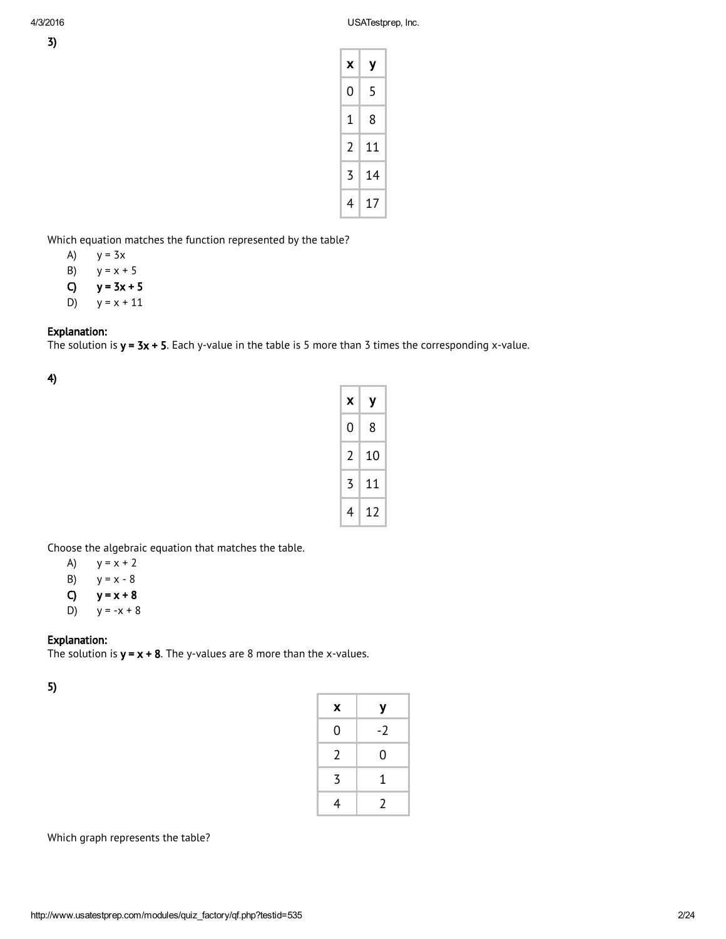| X | у  |
|---|----|
| 0 | 5  |
| 1 | 8  |
| 2 | 11 |
| 3 | 14 |
| 4 | 17 |

Which equation matches the function represented by the table?

- A)  $y = 3x$
- B)  $y = x + 5$
- C)  $y = 3x + 5$
- D)  $y = x + 11$

### Explanation:

The solution is  $y = 3x + 5$ . Each y-value in the table is 5 more than 3 times the corresponding x-value.

4)

| x | у  |
|---|----|
| 0 | 8  |
| 2 | 10 |
| 3 | 11 |
| 4 | 12 |

Choose the algebraic equation that matches the table.

- A)  $y = x + 2$
- B)  $y = x 8$
- C)  $y = x + 8$
- D)  $y = -x + 8$

# Explanation:

The solution is  $y = x + 8$ . The y-values are 8 more than the x-values.

5)

| X | у    |
|---|------|
| 0 | $-2$ |
| 2 | 0    |
| 3 | 1    |
| 4 | 2    |

Which graph represents the table?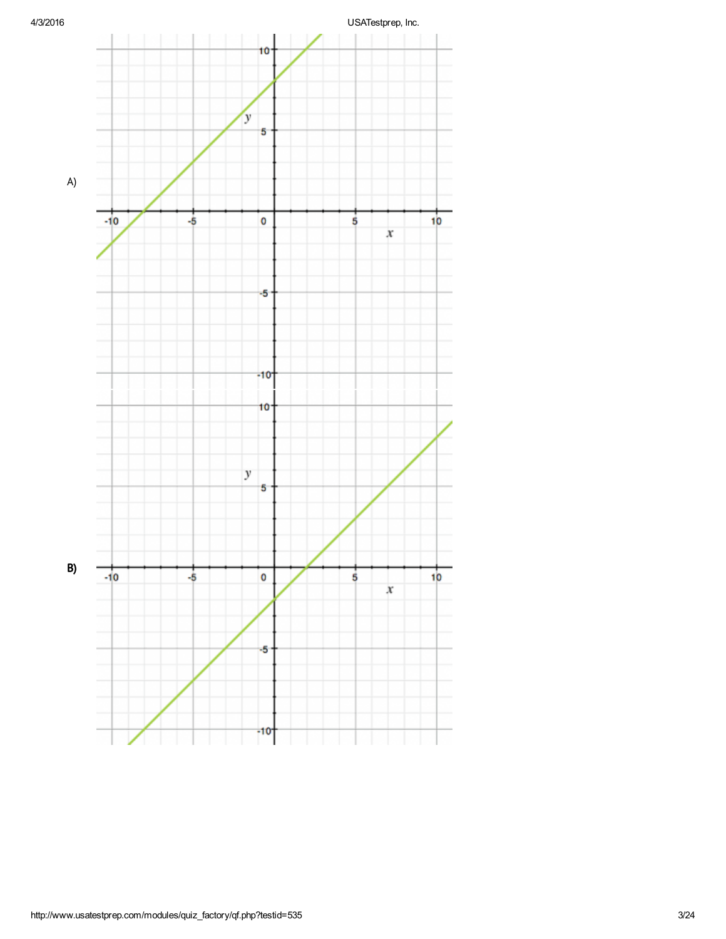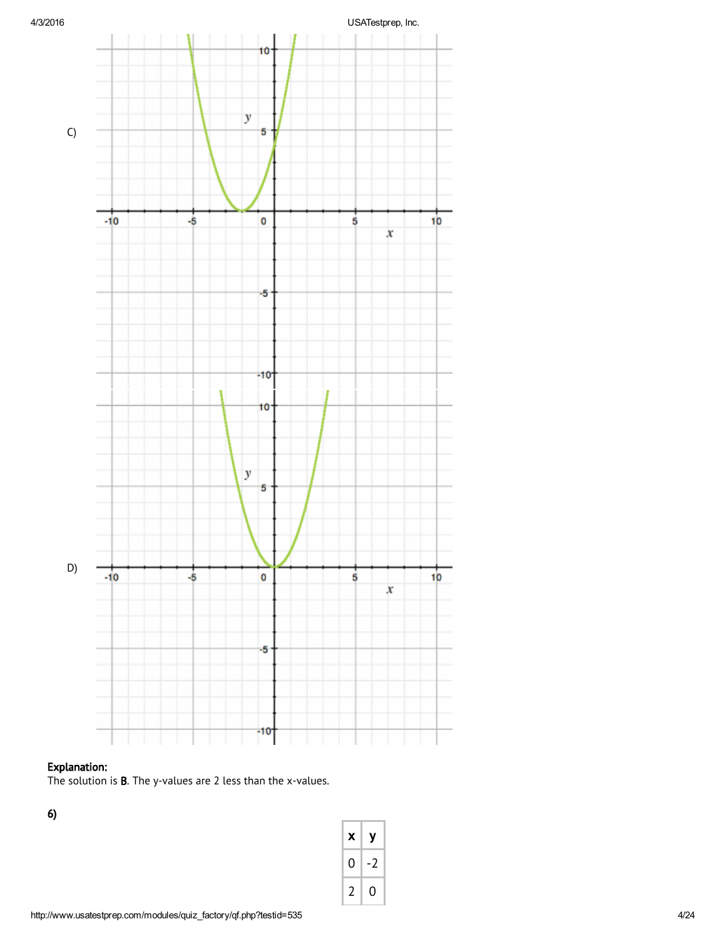

# Explanation:

The solution is B. The y-values are 2 less than the x-values.

6)

| x             | у    |
|---------------|------|
| 0             | $-2$ |
| $\mathcal{I}$ | 0    |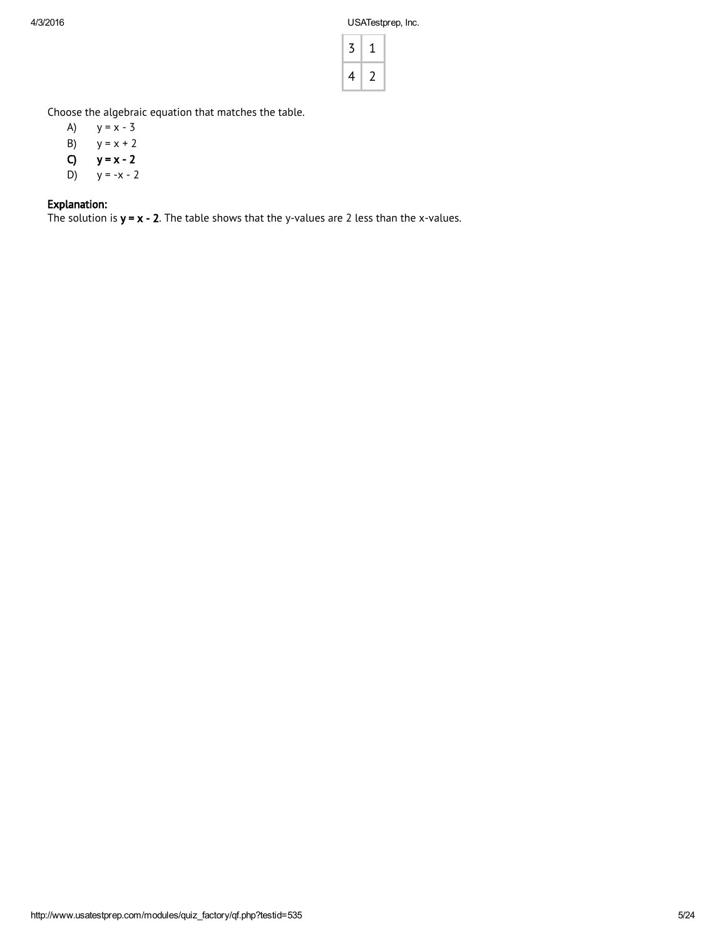| ζ |    |
|---|----|
| 4 | ٠, |

Choose the algebraic equation that matches the table.

- A)  $y = x 3$ B)  $y = x + 2$ <br>**C)**  $y = x - 2$
- $y = x 2$
- D)  $y = -x 2$

# Explanation:

The solution is  $y = x - 2$ . The table shows that the y-values are 2 less than the x-values.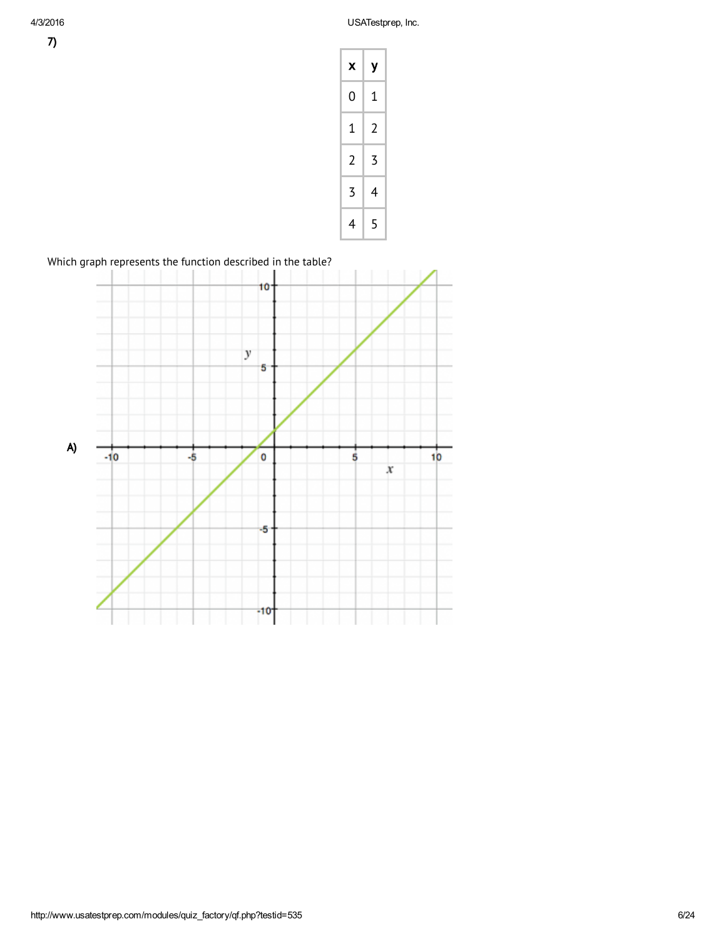

Which graph represents the function described in the table?

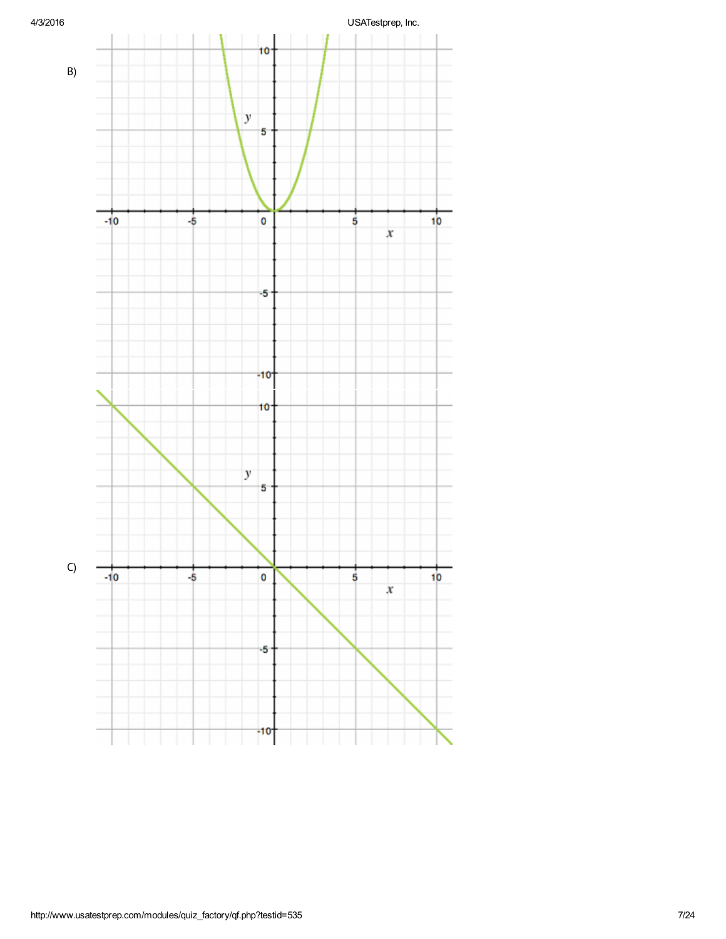

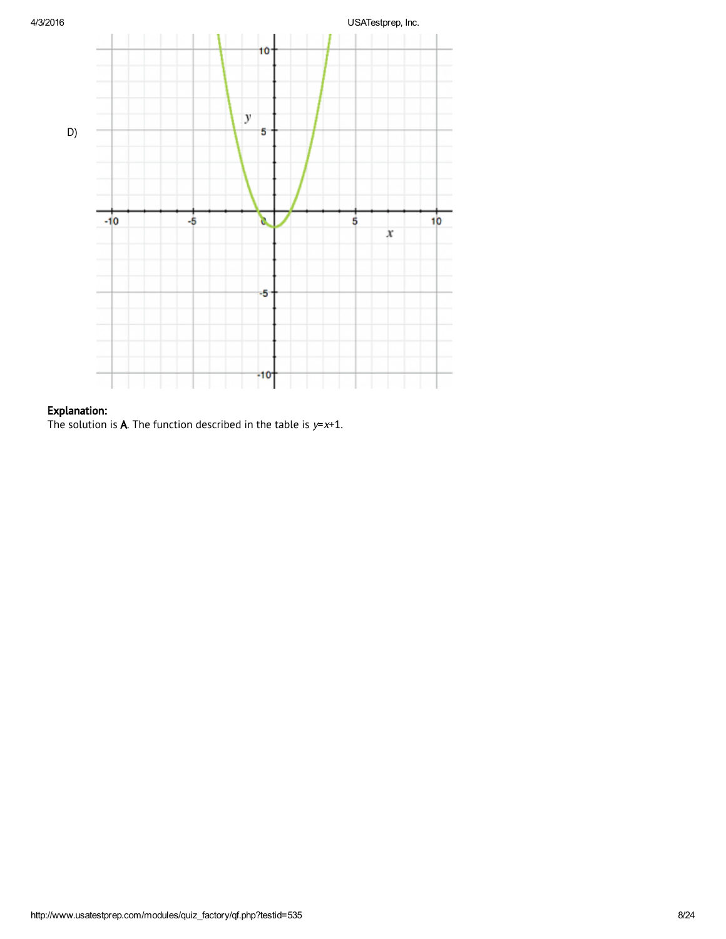

# Explanation:

The solution is **A**. The function described in the table is  $y=x+1$ .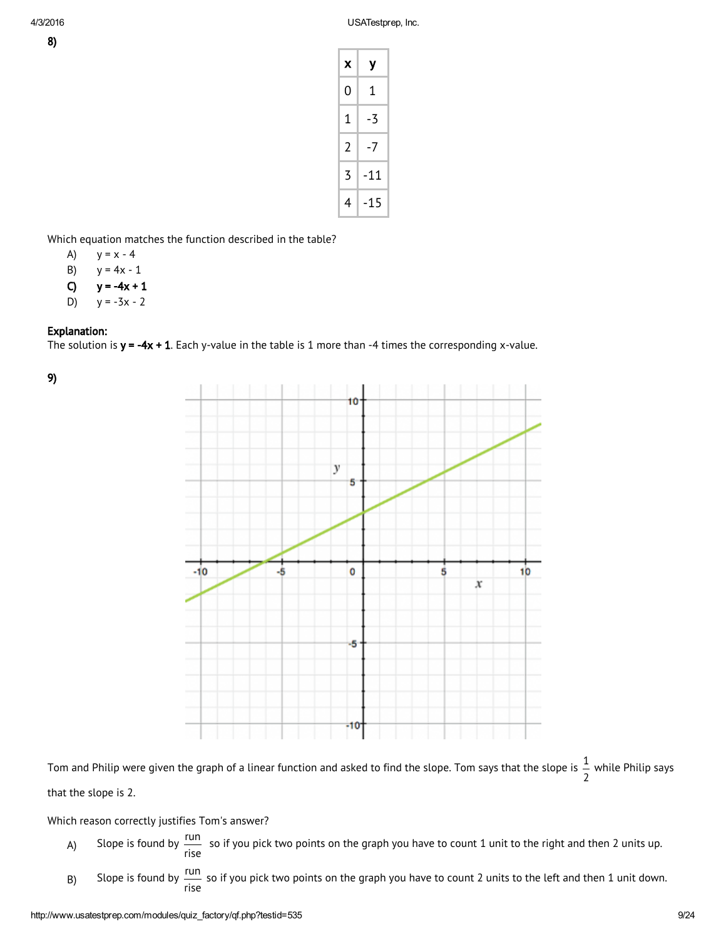| x | у     |
|---|-------|
| 0 | 1     |
| 1 | -3    |
| 2 | $-7$  |
| 3 | $-11$ |
| 4 | $-15$ |

Which equation matches the function described in the table?

- A)  $y = x 4$
- B)  $y = 4x 1$
- C)  $y = -4x + 1$
- D)  $y = -3x 2$

### Explanation:

The solution is  $y = -4x + 1$ . Each y-value in the table is 1 more than -4 times the corresponding x-value.

9)



Tom and Philip were given the graph of a linear function and asked to find the slope. Tom says that the slope is  $\frac{1}{\tau}$ 2 while Philip says

that the slope is 2.

Which reason correctly justifies Tom's answer?

- A) Slope is found by  $\frac{run}{ }$ rise so if you pick two points on the graph you have to count 1 unit to the right and then 2 units up.
- B) Slope is found by  $\frac{run}{t}$ rise so if you pick two points on the graph you have to count 2 units to the left and then 1 unit down.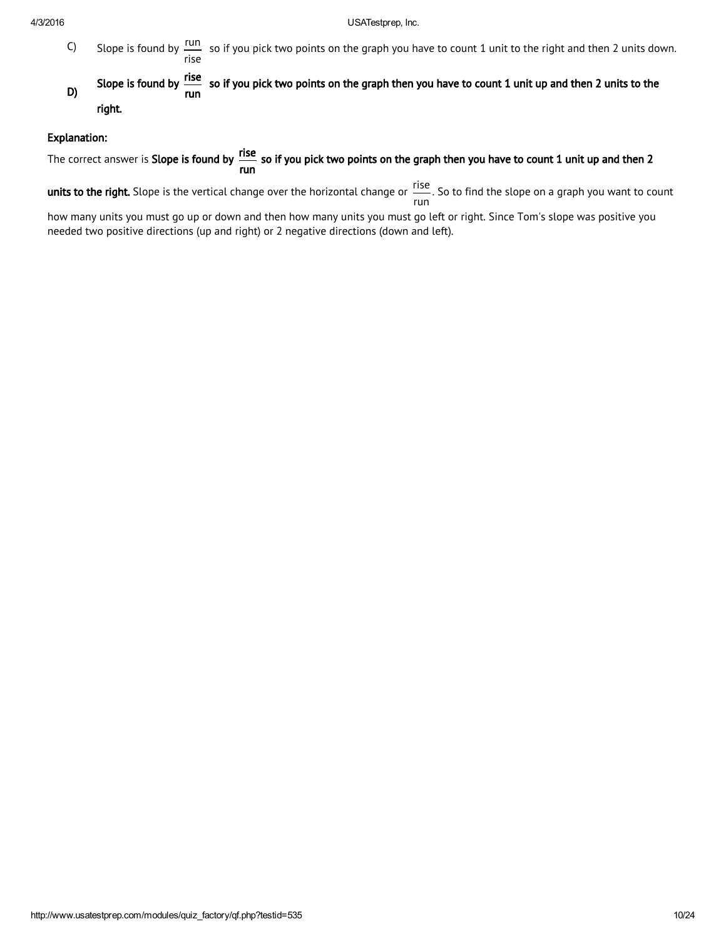- $C)$  Slope is found by  $\frac{run}{}$ rise so if you pick two points on the graph you have to count 1 unit to the right and then 2 units down.
- D) Slope is found by Fise run so if you pick two points on the graph then you have to count 1 unit up and then 2 units to the right.

#### Explanation:

The correct answer is **Slope is found by fise** run so if you pick two points on the graph then you have to count 1 unit up and then 2

**units to the right.** Slope is the vertical change over the horizontal change or  $\frac{rise}{ }$ run . So to find the slope on a graph you want to count

how many units you must go up or down and then how many units you must go left or right. Since Tom's slope was positive you needed two positive directions (up and right) or 2 negative directions (down and left).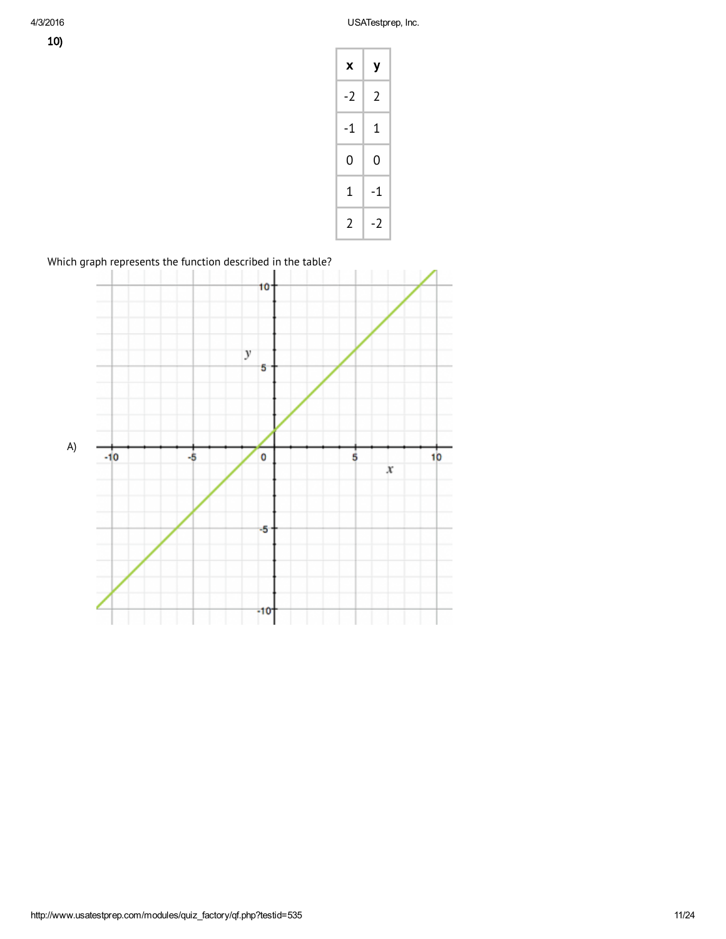

Which graph represents the function described in the table?

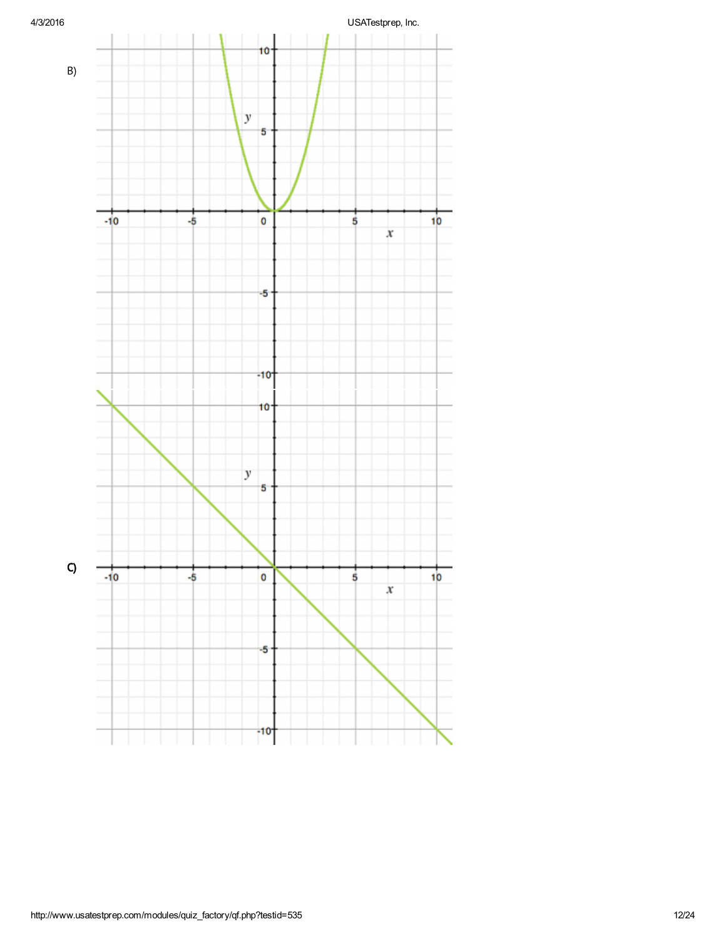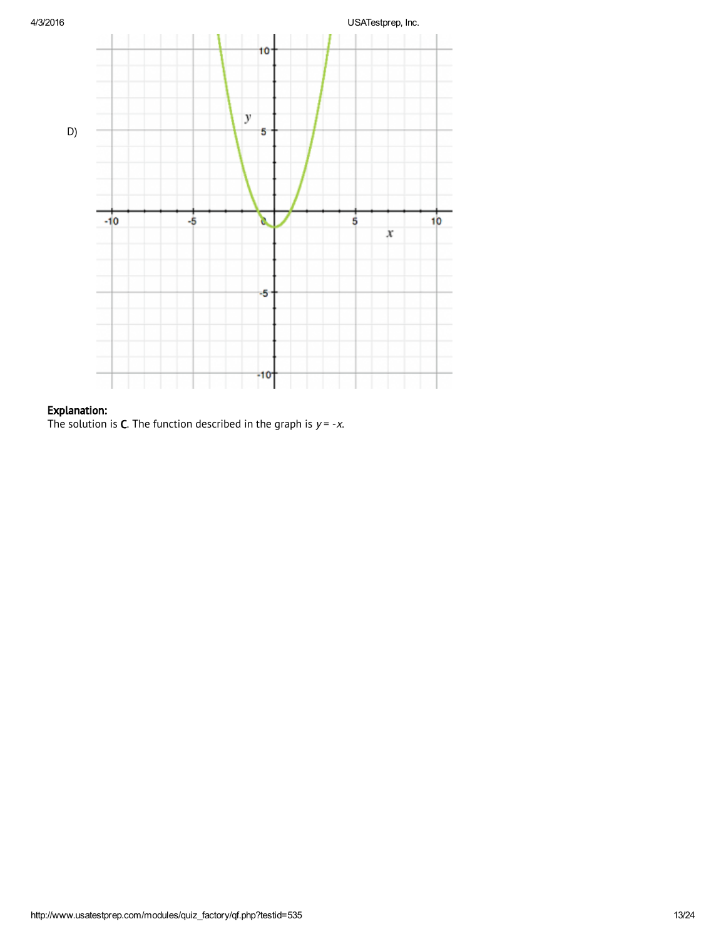

# Explanation:

The solution is **C**. The function described in the graph is  $y = -x$ .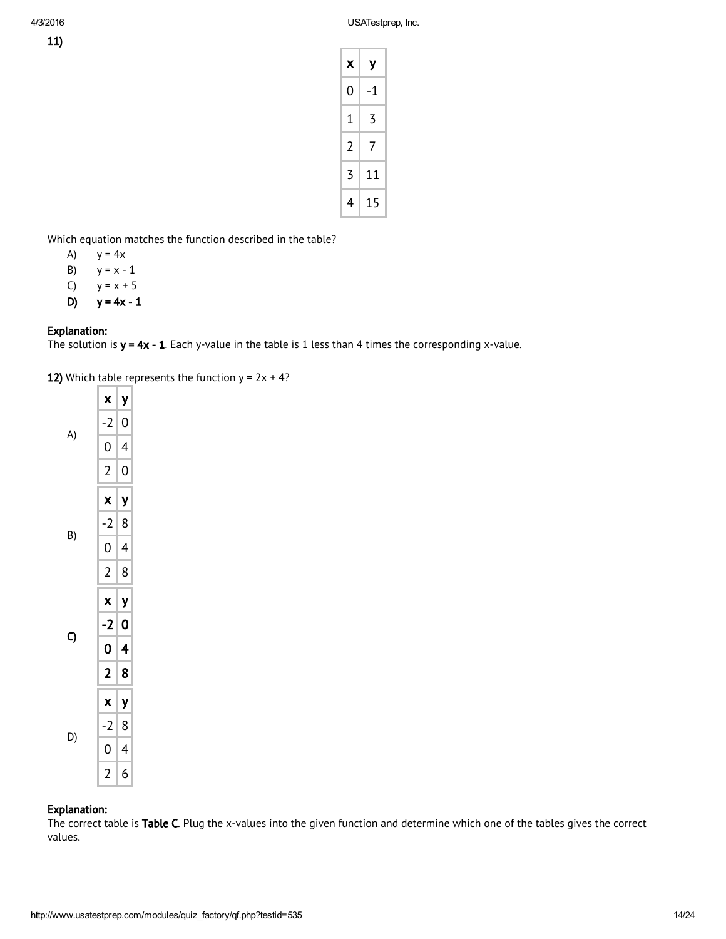| ×<br>ł<br>œ |
|-------------|
|-------------|

| х | у  |
|---|----|
| 0 | -1 |
| 1 | 3  |
| 2 | 7  |
| 3 | 11 |
| 4 | 15 |

Which equation matches the function described in the table?

- A)  $y = 4x$
- B)  $y = x 1$
- C)  $y = x + 5$
- D)  $y = 4x 1$

# Explanation:

The solution is  $y = 4x - 1$ . Each y-value in the table is 1 less than 4 times the corresponding x-value.

12) Which table represents the function  $y = 2x + 4$ ?



## Explanation:

The correct table is Table C. Plug the x-values into the given function and determine which one of the tables gives the correct values.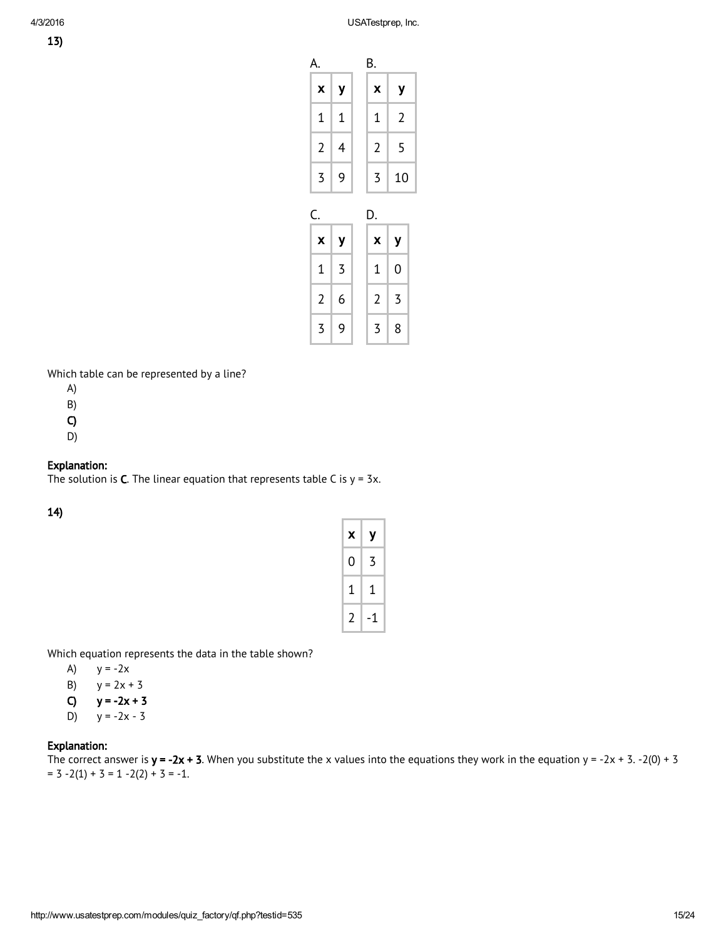13)

| А.             |   | В.             |                |
|----------------|---|----------------|----------------|
| X              | y | X              | у              |
| $\mathbf 1$    | 1 | 1              | $\overline{2}$ |
| $\overline{2}$ | 4 | 2              | 5              |
| 3              | 9 | 3              | 10             |
|                |   |                |                |
| C.             |   | D.             |                |
| X              | y | X              | y              |
| 1              | 3 | 1              | 0              |
| $\overline{2}$ | 6 | $\overline{2}$ | 3              |

Which table can be represented by a line?

- A)
- B)
- C)
- D)

# Explanation:

The solution is **C**. The linear equation that represents table C is  $y = 3x$ .

14)

| x | у  |
|---|----|
| 0 | 3  |
| 1 | 1  |
| 2 | -1 |

Which equation represents the data in the table shown?

- A)  $y = -2x$
- B)  $y = 2x + 3$
- C)  $y = -2x + 3$
- D)  $y = -2x 3$

# Explanation:

The correct answer is  $y = -2x + 3$ . When you substitute the x values into the equations they work in the equation  $y = -2x + 3$ . -2(0) + 3  $= 3 -2(1) + 3 = 1 -2(2) + 3 = -1.$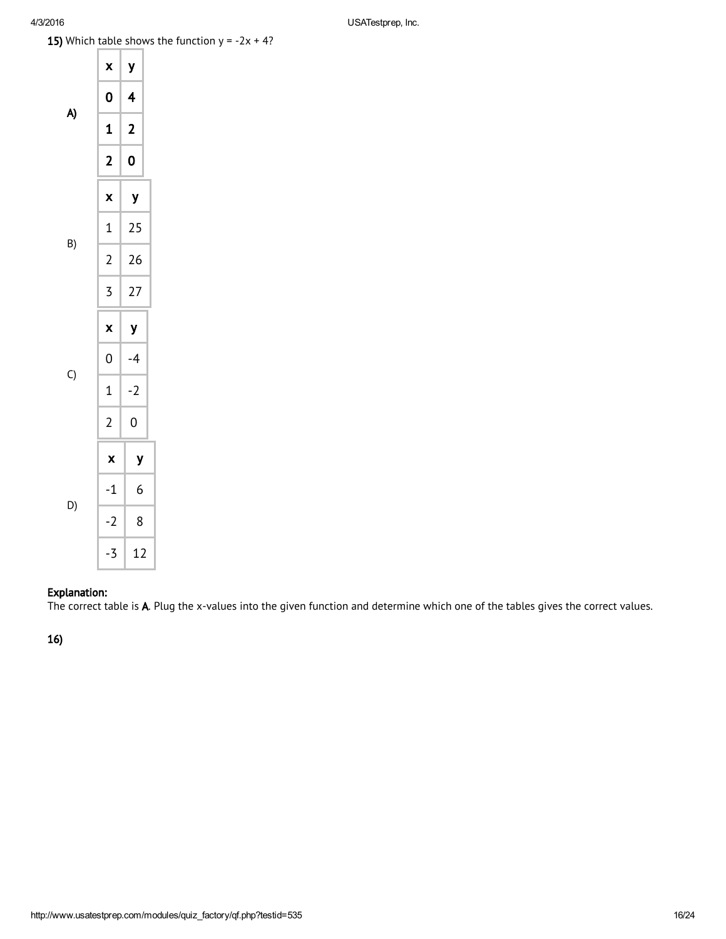**15)** Which table shows the function  $y = -2x + 4$ ?



# Explanation:

The correct table is A. Plug the x-values into the given function and determine which one of the tables gives the correct values.

16)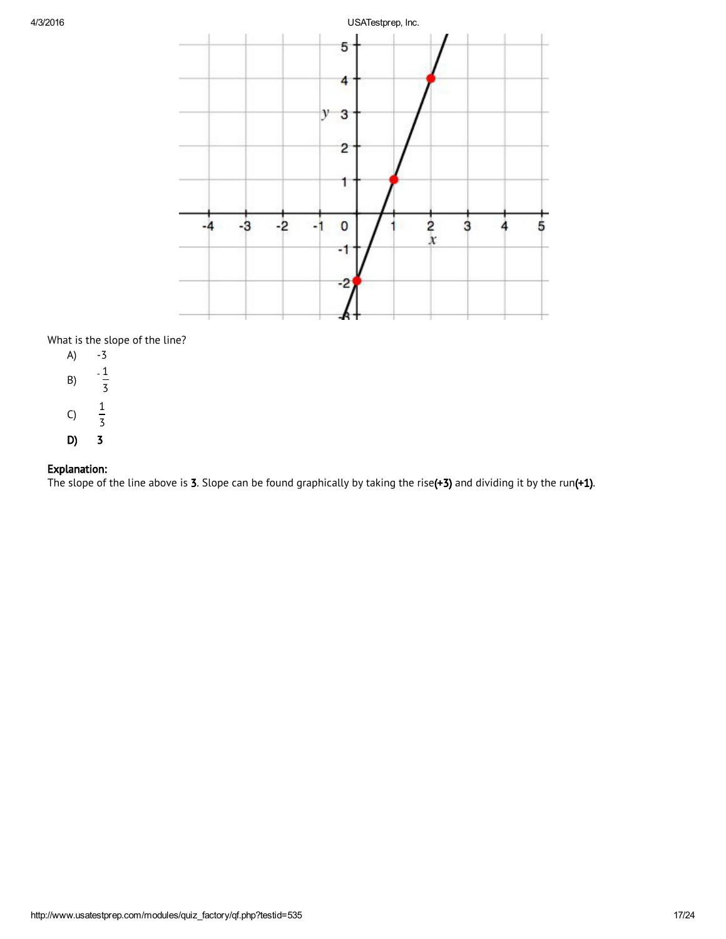

What is the slope of the line?  $\lambda$ 

| A) | - 5                 |
|----|---------------------|
| B) | 1<br>3              |
| C) | 1<br>$\overline{5}$ |
| D) | 3                   |

# Explanation:

The slope of the line above is 3. Slope can be found graphically by taking the rise(+3) and dividing it by the run(+1).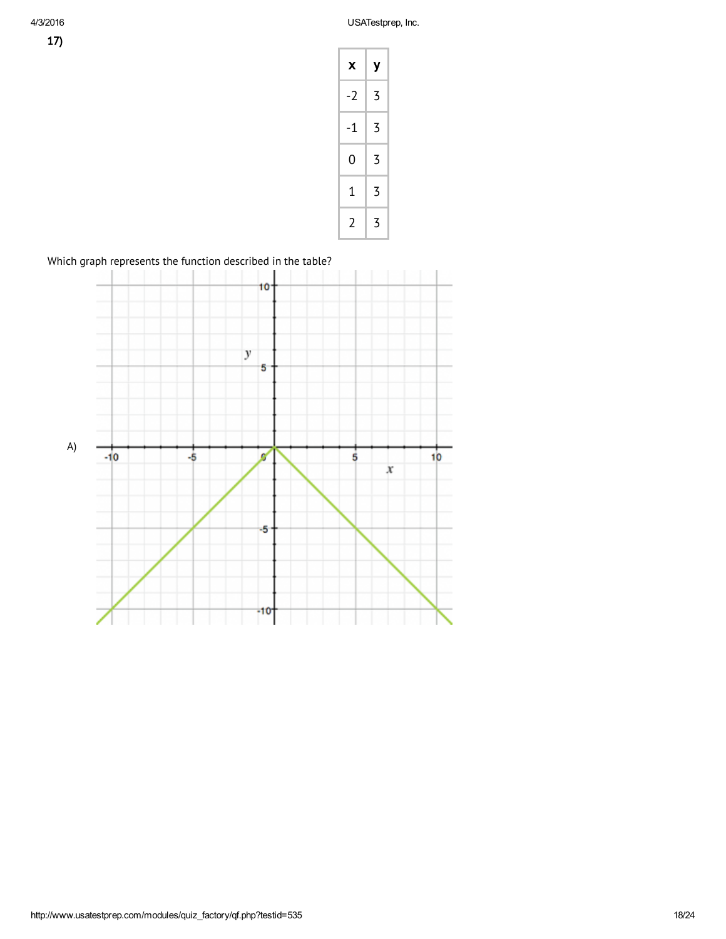| X    | у |
|------|---|
| $-2$ | 3 |
| $-1$ | 3 |
| 0    | 3 |
| 1    | 3 |
| 2    | 3 |

Which graph represents the function described in the table?

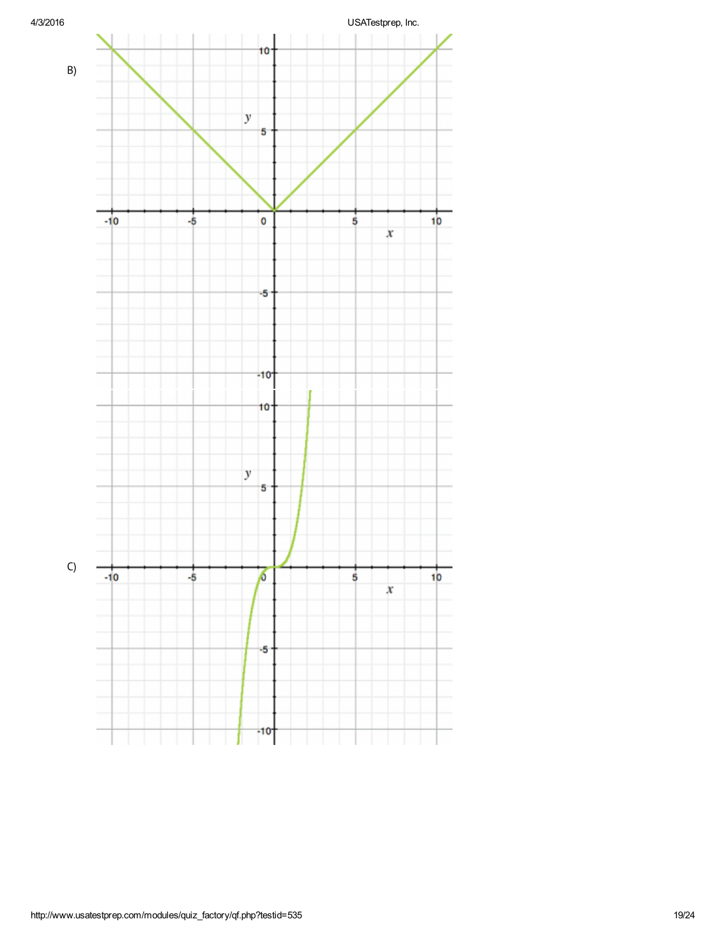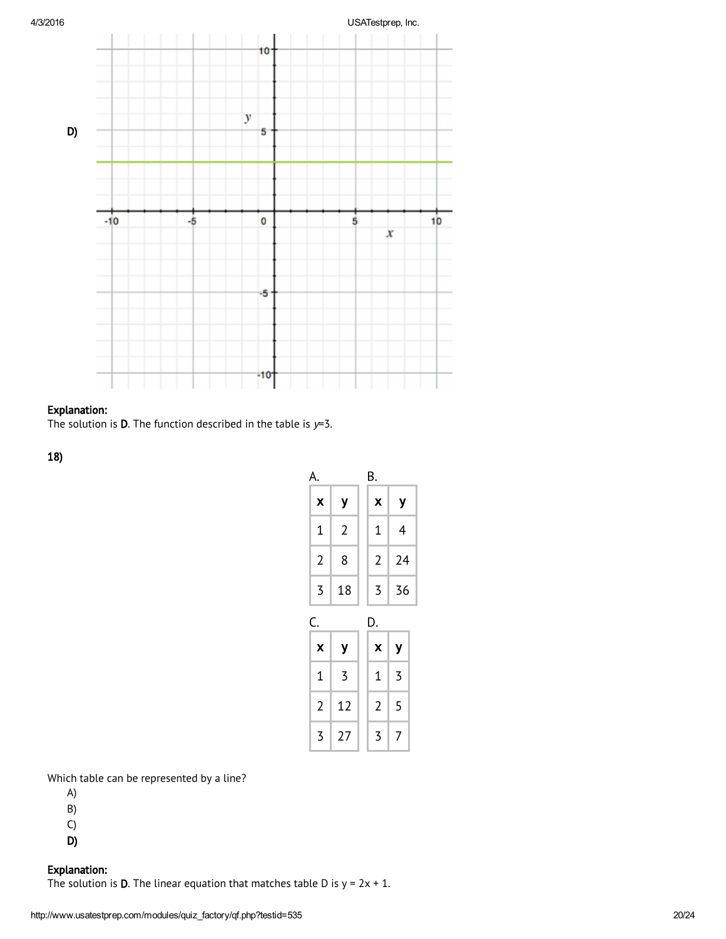

# Explanation:

The solution is **D**. The function described in the table is  $y=3$ .

18)

| А.             |                | В.             |    |
|----------------|----------------|----------------|----|
| X              | y              | X              | У  |
| $\mathbf 1$    | $\overline{2}$ | 1              | 4  |
| 2              | 8              | $\overline{2}$ | 24 |
| 3              | 18             | 3              | 36 |
|                |                |                |    |
| Ć.             |                | D.             |    |
| X              | у              | X              | У  |
| $\mathbf{1}$   | 3              | 1              | 3  |
| $\overline{2}$ | 12             | 2              | 5  |

Which table can be represented by a line?

- A)
- B)
- C)
- 

D)

# Explanation:

The solution is **D**. The linear equation that matches table D is  $y = 2x + 1$ .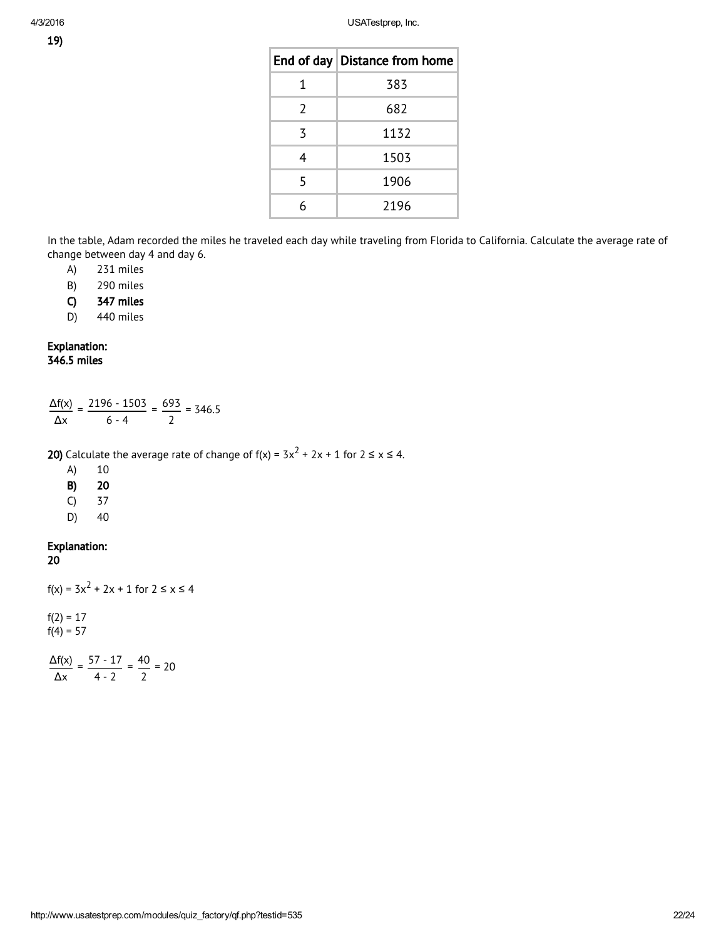|               | End of day Distance from home |
|---------------|-------------------------------|
| 1             | 383                           |
| $\mathcal{L}$ | 682                           |
| 3             | 1132                          |
| 4             | 1503                          |
| 5             | 1906                          |
|               | 2196                          |

In the table, Adam recorded the miles he traveled each day while traveling from Florida to California. Calculate the average rate of change between day 4 and day 6.

A) 231 miles

- B) 290 miles
- C) 347 miles

D) 440 miles

### Explanation: 346.5 miles

|    | $\frac{\Delta f(x)}{g} = \frac{2196 - 1503}{g} = \frac{693}{g} = 346.5$ |  |
|----|-------------------------------------------------------------------------|--|
| Λx |                                                                         |  |

**20)** Calculate the average rate of change of f(x) =  $3x^2 + 2x + 1$  for  $2 \le x \le 4$ .

A) 10

B) 20

C) 37

D) 40

# Explanation:

20

```
f(x) = 3x^2 + 2x + 1 for 2 \le x \le 4
```
 $f(2) = 17$  $f(4) = 57$ 

Δf(x) Δx  $=$   $\frac{57 - 17}{ }$ 4 - 2  $= \frac{40}{10}$ 2 = 20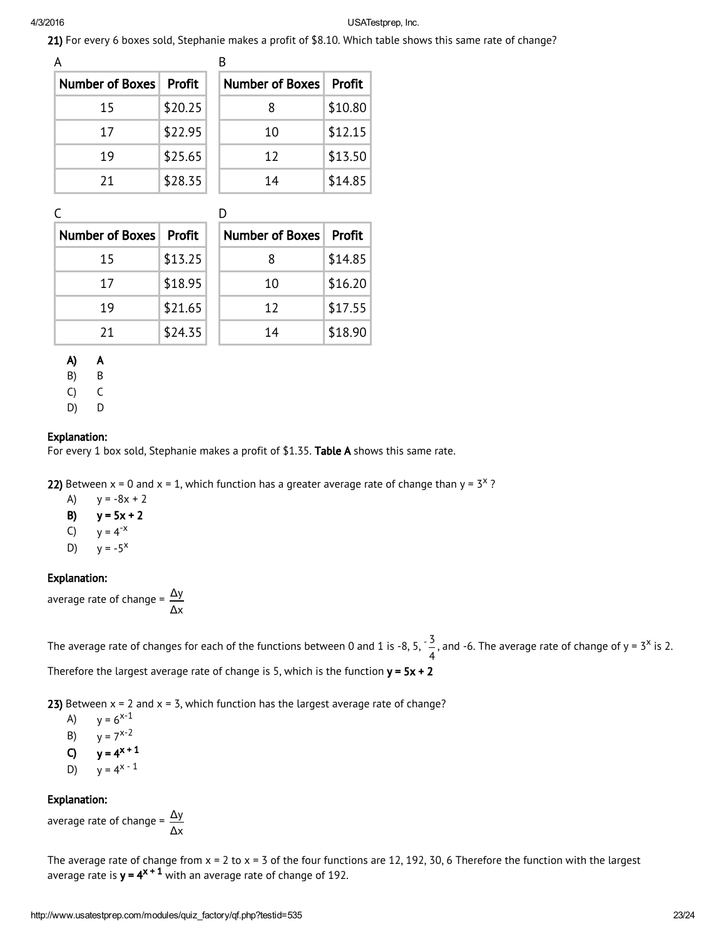21) For every 6 boxes sold, Stephanie makes a profit of \$8.10. Which table shows this same rate of change?

| А                      |               |                        |         |
|------------------------|---------------|------------------------|---------|
| <b>Number of Boxes</b> | <b>Profit</b> | <b>Number of Boxes</b> | Profit  |
| 15                     | \$20.25       | 8                      | \$10.80 |
| 17                     | \$22.95       | 10                     | \$12.15 |
| 19                     | \$25.65       | 12                     | \$13.50 |
| 21                     | \$28.35       | 14                     | \$14.85 |

| <b>Number of Boxes</b> | Profit  | <b>Number of Boxes</b> | Profit  |
|------------------------|---------|------------------------|---------|
| 15                     | \$13.25 | 8                      | \$14.85 |
| 17                     | \$18.95 | 10                     | \$16.20 |
| 19                     | \$21.65 | 12                     | \$17.55 |
| 21                     | \$24.35 | 14                     | \$18.90 |

A) A

B) B

C) C

D) D

# Explanation:

For every 1 box sold, Stephanie makes a profit of \$1.35. Table A shows this same rate.

22) Between x = 0 and x = 1, which function has a greater average rate of change than y =  $3^{\times}$  ?

A)  $y = -8x + 2$ B)  $y = 5x + 2$ C)  $y = 4^{-x}$ D)  $y = -5^x$ 

# Explanation:

average rate of change =  $\frac{\Delta y}{\Delta}$ Δx

The average rate of changes for each of the functions between 0 and 1 is -8, 5,  $\cdot \frac{3}{7}$ 4 , and -6. The average rate of change of  $y = 3^x$  is 2. Therefore the largest average rate of change is 5, which is the function  $y = 5x + 2$ 

23) Between  $x = 2$  and  $x = 3$ , which function has the largest average rate of change?

A)  $y = 6^{x-1}$ B)  $y = 7^{x-2}$ C)  $y = 4^{x + 1}$ D)  $y = 4^{x - 1}$ 

# Explanation:

average rate of change =  $\frac{\Delta y}{\Delta}$ Δx

The average rate of change from  $x = 2$  to  $x = 3$  of the four functions are 12, 192, 30, 6 Therefore the function with the largest average rate is  $\mathsf{y}$  =  $\mathsf{4}^\mathsf{x+1}$  with an average rate of change of 192.